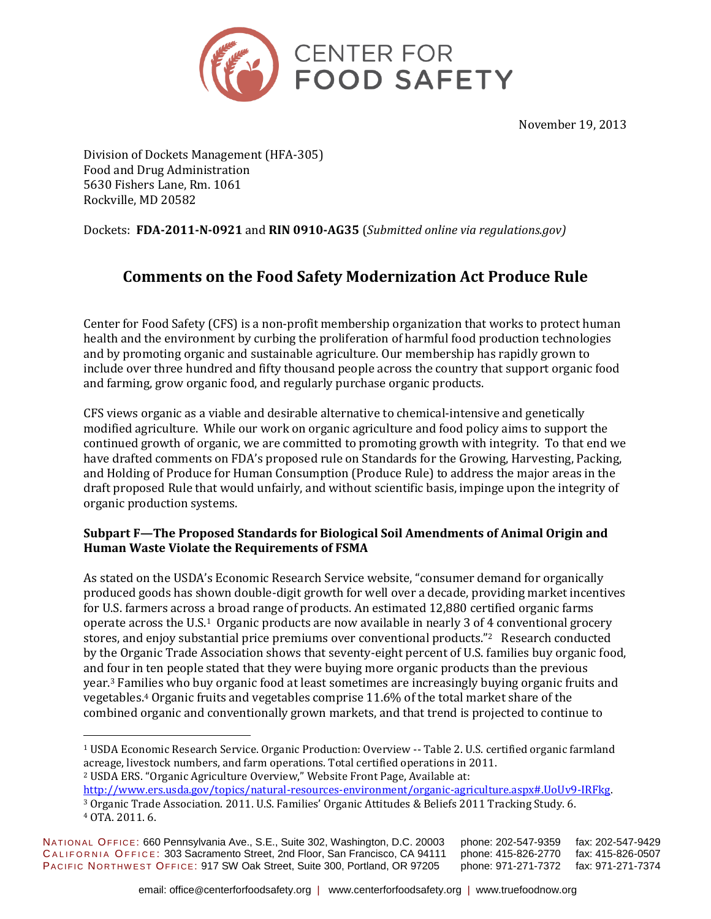

November 19, 2013

Division of Dockets Management (HFA-305) Food and Drug Administration 5630 Fishers Lane, Rm. 1061 Rockville, MD 20582

Dockets: **FDA-2011-N-0921** and **RIN 0910-AG35** (*Submitted online via regulations.gov)*

# **Comments on the Food Safety Modernization Act Produce Rule**

Center for Food Safety (CFS) is a non-profit membership organization that works to protect human health and the environment by curbing the proliferation of harmful food production technologies and by promoting organic and sustainable agriculture. Our membership has rapidly grown to include over three hundred and fifty thousand people across the country that support organic food and farming, grow organic food, and regularly purchase organic products.

CFS views organic as a viable and desirable alternative to chemical-intensive and genetically modified agriculture. While our work on organic agriculture and food policy aims to support the continued growth of organic, we are committed to promoting growth with integrity. To that end we have drafted comments on FDA's proposed rule on Standards for the Growing, Harvesting, Packing, and Holding of Produce for Human Consumption (Produce Rule) to address the major areas in the draft proposed Rule that would unfairly, and without scientific basis, impinge upon the integrity of organic production systems.

## **Subpart F—The Proposed Standards for Biological Soil Amendments of Animal Origin and Human Waste Violate the Requirements of FSMA**

As stated on the USDA's Economic Research Service website, "consumer demand for organically produced goods has shown double-digit growth for well over a decade, providing market incentives for U.S. farmers across a broad range of products. An estimated 12,880 certified organic farms operate across the U.S.1 Organic products are now available in nearly 3 of 4 conventional grocery stores, and enjoy substantial price premiums over conventional products."<sup>2</sup> Research conducted by the Organic Trade Association shows that seventy-eight percent of U.S. families buy organic food, and four in ten people stated that they were buying more organic products than the previous year.<sup>3</sup> Families who buy organic food at least sometimes are increasingly buying organic fruits and vegetables.<sup>4</sup> Organic fruits and vegetables comprise 11.6% of the total market share of the combined organic and conventionally grown markets, and that trend is projected to continue to

<sup>2</sup> USDA ERS. "Organic Agriculture Overview," Website Front Page, Available at:

[http://www.ers.usda.gov/topics/natural-resources-environment/organic-agriculture.aspx#.UoUv9-IRFkg.](http://www.ers.usda.gov/topics/natural-resources-environment/organic-agriculture.aspx#.UoUv9-IRFkg) <sup>3</sup> Organic Trade Association. 2011. U.S. Families' Organic Attitudes & Beliefs 2011 Tracking Study. 6.

 $\overline{a}$ 

NATIONAL OFFICE: 660 Pennsylvania Ave., S.E., Suite 302, Washington, D.C. 20003 phone: 202-547-9359 fax: 202-547-9429 CALIFORNIA OFFICE: 303 Sacramento Street, 2nd Floor, San Francisco, CA 94111 phone: 415-826-2770 fax: 415-826-0507 PACIFIC NORTHWEST OFFICE: 917 SW Oak Street, Suite 300, Portland, OR 97205 phone: 971-271-7372 fax: 971-271-7374

<sup>1</sup> USDA Economic Research Service. Organic Production: Overview -- Table 2. U.S. certified organic farmland acreage, livestock numbers, and farm operations. Total certified operations in 2011.

<sup>4</sup> OTA. 2011. 6.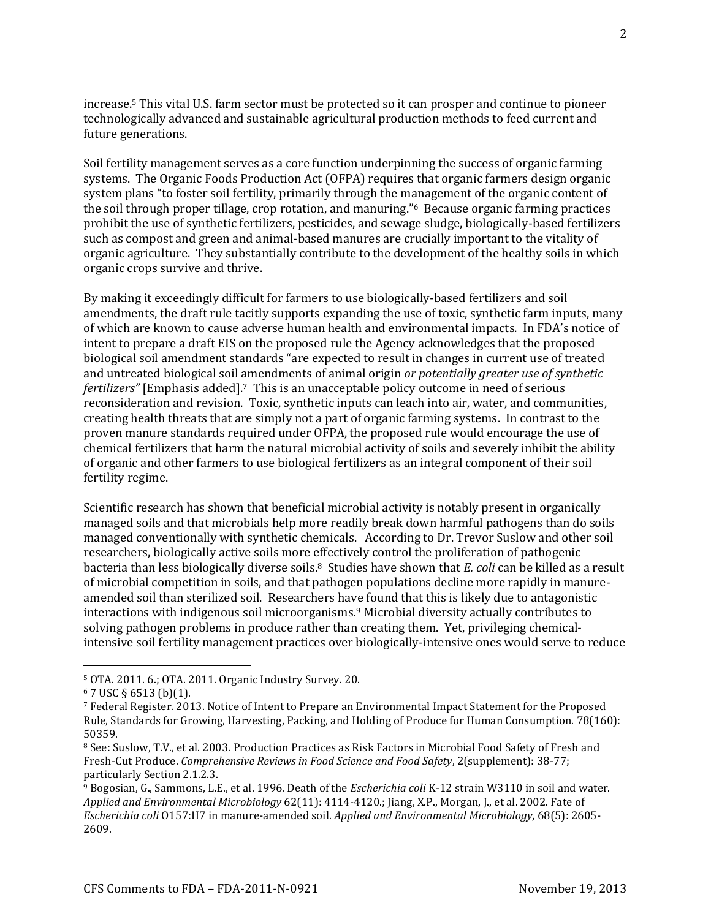increase.<sup>5</sup> This vital U.S. farm sector must be protected so it can prosper and continue to pioneer technologically advanced and sustainable agricultural production methods to feed current and future generations.

Soil fertility management serves as a core function underpinning the success of organic farming systems. The Organic Foods Production Act (OFPA) requires that organic farmers design organic system plans "to foster soil fertility, primarily through the management of the organic content of the soil through proper tillage, crop rotation, and manuring."6 Because organic farming practices prohibit the use of synthetic fertilizers, pesticides, and sewage sludge, biologically-based fertilizers such as compost and green and animal-based manures are crucially important to the vitality of organic agriculture. They substantially contribute to the development of the healthy soils in which organic crops survive and thrive.

By making it exceedingly difficult for farmers to use biologically-based fertilizers and soil amendments, the draft rule tacitly supports expanding the use of toxic, synthetic farm inputs, many of which are known to cause adverse human health and environmental impacts. In FDA's notice of intent to prepare a draft EIS on the proposed rule the Agency acknowledges that the proposed biological soil amendment standards "are expected to result in changes in current use of treated and untreated biological soil amendments of animal origin *or potentially greater use of synthetic fertilizers"* [Emphasis added]. <sup>7</sup> This is an unacceptable policy outcome in need of serious reconsideration and revision. Toxic, synthetic inputs can leach into air, water, and communities, creating health threats that are simply not a part of organic farming systems. In contrast to the proven manure standards required under OFPA, the proposed rule would encourage the use of chemical fertilizers that harm the natural microbial activity of soils and severely inhibit the ability of organic and other farmers to use biological fertilizers as an integral component of their soil fertility regime.

Scientific research has shown that beneficial microbial activity is notably present in organically managed soils and that microbials help more readily break down harmful pathogens than do soils managed conventionally with synthetic chemicals. According to Dr. Trevor Suslow and other soil researchers, biologically active soils more effectively control the proliferation of pathogenic bacteria than less biologically diverse soils.8 Studies have shown that *E. coli* can be killed as a result of microbial competition in soils, and that pathogen populations decline more rapidly in manureamended soil than sterilized soil. Researchers have found that this is likely due to antagonistic interactions with indigenous soil microorganisms.<sup>9</sup> Microbial diversity actually contributes to solving pathogen problems in produce rather than creating them. Yet, privileging chemicalintensive soil fertility management practices over biologically-intensive ones would serve to reduce

<sup>5</sup> OTA. 2011. 6.; OTA. 2011. Organic Industry Survey. 20.

 $6$  7 USC § 6513 (b)(1).

<sup>7</sup> Federal Register. 2013. Notice of Intent to Prepare an Environmental Impact Statement for the Proposed Rule, Standards for Growing, Harvesting, Packing, and Holding of Produce for Human Consumption. 78(160): 50359.

<sup>8</sup> See: Suslow, T.V., et al. 2003. Production Practices as Risk Factors in Microbial Food Safety of Fresh and Fresh-Cut Produce. *Comprehensive Reviews in Food Science and Food Safety*, 2(supplement): 38-77; particularly Section 2.1.2.3.

<sup>9</sup> Bogosian, G., Sammons, L.E., et al. 1996. Death of the *Escherichia coli* K-12 strain W3110 in soil and water. *Applied and Environmental Microbiology* 62(11): 4114-4120.; Jiang, X.P., Morgan, J., et al. 2002. Fate of *Escherichia coli* O157:H7 in manure-amended soil. *Applied and Environmental Microbiology,* 68(5): 2605- 2609.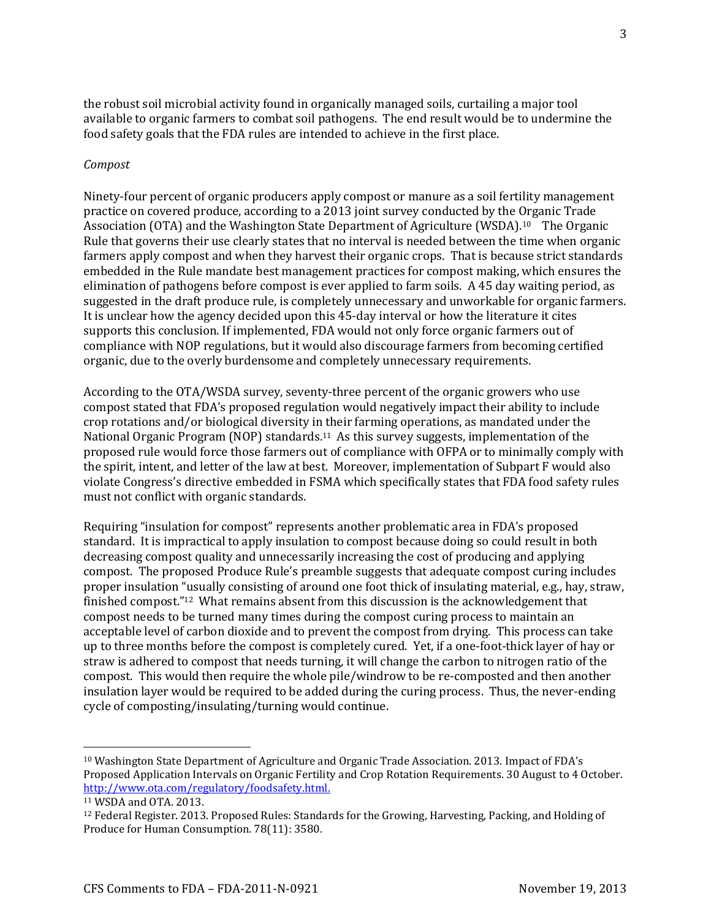the robust soil microbial activity found in organically managed soils, curtailing a major tool available to organic farmers to combat soil pathogens. The end result would be to undermine the food safety goals that the FDA rules are intended to achieve in the first place.

#### *Compost*

Ninety-four percent of organic producers apply compost or manure as a soil fertility management practice on covered produce, according to a 2013 joint survey conducted by the Organic Trade Association (OTA) and the Washington State Department of Agriculture (WSDA).10 The Organic Rule that governs their use clearly states that no interval is needed between the time when organic farmers apply compost and when they harvest their organic crops. That is because strict standards embedded in the Rule mandate best management practices for compost making, which ensures the elimination of pathogens before compost is ever applied to farm soils. A 45 day waiting period, as suggested in the draft produce rule, is completely unnecessary and unworkable for organic farmers. It is unclear how the agency decided upon this 45-day interval or how the literature it cites supports this conclusion. If implemented, FDA would not only force organic farmers out of compliance with NOP regulations, but it would also discourage farmers from becoming certified organic, due to the overly burdensome and completely unnecessary requirements.

According to the OTA/WSDA survey, seventy-three percent of the organic growers who use compost stated that FDA's proposed regulation would negatively impact their ability to include crop rotations and/or biological diversity in their farming operations, as mandated under the National Organic Program (NOP) standards.<sup>11</sup> As this survey suggests, implementation of the proposed rule would force those farmers out of compliance with OFPA or to minimally comply with the spirit, intent, and letter of the law at best. Moreover, implementation of Subpart F would also violate Congress's directive embedded in FSMA which specifically states that FDA food safety rules must not conflict with organic standards.

Requiring "insulation for compost" represents another problematic area in FDA's proposed standard. It is impractical to apply insulation to compost because doing so could result in both decreasing compost quality and unnecessarily increasing the cost of producing and applying compost. The proposed Produce Rule's preamble suggests that adequate compost curing includes proper insulation "usually consisting of around one foot thick of insulating material, e.g., hay, straw, finished compost."12 What remains absent from this discussion is the acknowledgement that compost needs to be turned many times during the compost curing process to maintain an acceptable level of carbon dioxide and to prevent the compost from drying. This process can take up to three months before the compost is completely cured. Yet, if a one-foot-thick layer of hay or straw is adhered to compost that needs turning, it will change the carbon to nitrogen ratio of the compost. This would then require the whole pile/windrow to be re-composted and then another insulation layer would be required to be added during the curing process. Thus, the never-ending cycle of composting/insulating/turning would continue.

<sup>10</sup> Washington State Department of Agriculture and Organic Trade Association. 2013. Impact of FDA's Proposed Application Intervals on Organic Fertility and Crop Rotation Requirements. 30 August to 4 October. [http://www.ota.com/regulatory/foodsafety.html.](http://www.ota.com/regulatory/foodsafety.html)

<sup>11</sup> WSDA and OTA. 2013.

<sup>12</sup> Federal Register. 2013. Proposed Rules: Standards for the Growing, Harvesting, Packing, and Holding of Produce for Human Consumption. 78(11): 3580.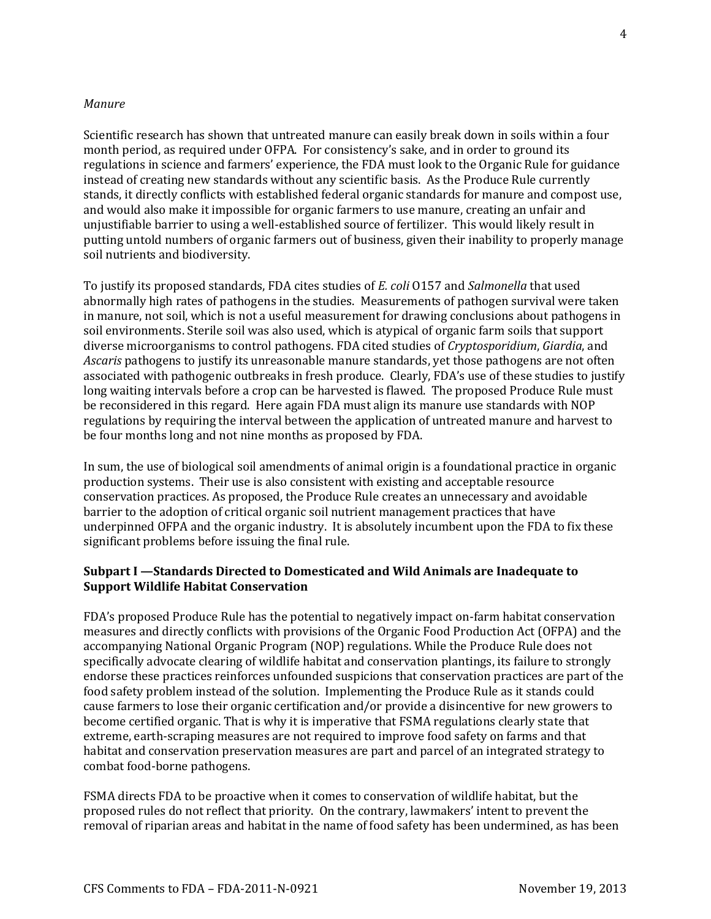### *Manure*

Scientific research has shown that untreated manure can easily break down in soils within a four month period, as required under OFPA. For consistency's sake, and in order to ground its regulations in science and farmers' experience, the FDA must look to the Organic Rule for guidance instead of creating new standards without any scientific basis. As the Produce Rule currently stands, it directly conflicts with established federal organic standards for manure and compost use, and would also make it impossible for organic farmers to use manure, creating an unfair and unjustifiable barrier to using a well-established source of fertilizer. This would likely result in putting untold numbers of organic farmers out of business, given their inability to properly manage soil nutrients and biodiversity.

To justify its proposed standards, FDA cites studies of *E. coli* O157 and *Salmonella* that used abnormally high rates of pathogens in the studies. Measurements of pathogen survival were taken in manure, not soil, which is not a useful measurement for drawing conclusions about pathogens in soil environments. Sterile soil was also used, which is atypical of organic farm soils that support diverse microorganisms to control pathogens. FDA cited studies of *Cryptosporidium*, *Giardia*, and *Ascaris* pathogens to justify its unreasonable manure standards, yet those pathogens are not often associated with pathogenic outbreaks in fresh produce. Clearly, FDA's use of these studies to justify long waiting intervals before a crop can be harvested is flawed. The proposed Produce Rule must be reconsidered in this regard. Here again FDA must align its manure use standards with NOP regulations by requiring the interval between the application of untreated manure and harvest to be four months long and not nine months as proposed by FDA.

In sum, the use of biological soil amendments of animal origin is a foundational practice in organic production systems. Their use is also consistent with existing and acceptable resource conservation practices. As proposed, the Produce Rule creates an unnecessary and avoidable barrier to the adoption of critical organic soil nutrient management practices that have underpinned OFPA and the organic industry. It is absolutely incumbent upon the FDA to fix these significant problems before issuing the final rule.

## **Subpart I —Standards Directed to Domesticated and Wild Animals are Inadequate to Support Wildlife Habitat Conservation**

FDA's proposed Produce Rule has the potential to negatively impact on-farm habitat conservation measures and directly conflicts with provisions of the Organic Food Production Act (OFPA) and the accompanying National Organic Program (NOP) regulations. While the Produce Rule does not specifically advocate clearing of wildlife habitat and conservation plantings, its failure to strongly endorse these practices reinforces unfounded suspicions that conservation practices are part of the food safety problem instead of the solution. Implementing the Produce Rule as it stands could cause farmers to lose their organic certification and/or provide a disincentive for new growers to become certified organic. That is why it is imperative that FSMA regulations clearly state that extreme, earth-scraping measures are not required to improve food safety on farms and that habitat and conservation preservation measures are part and parcel of an integrated strategy to combat food-borne pathogens.

FSMA directs FDA to be proactive when it comes to conservation of wildlife habitat, but the proposed rules do not reflect that priority. On the contrary, lawmakers' intent to prevent the removal of riparian areas and habitat in the name of food safety has been undermined, as has been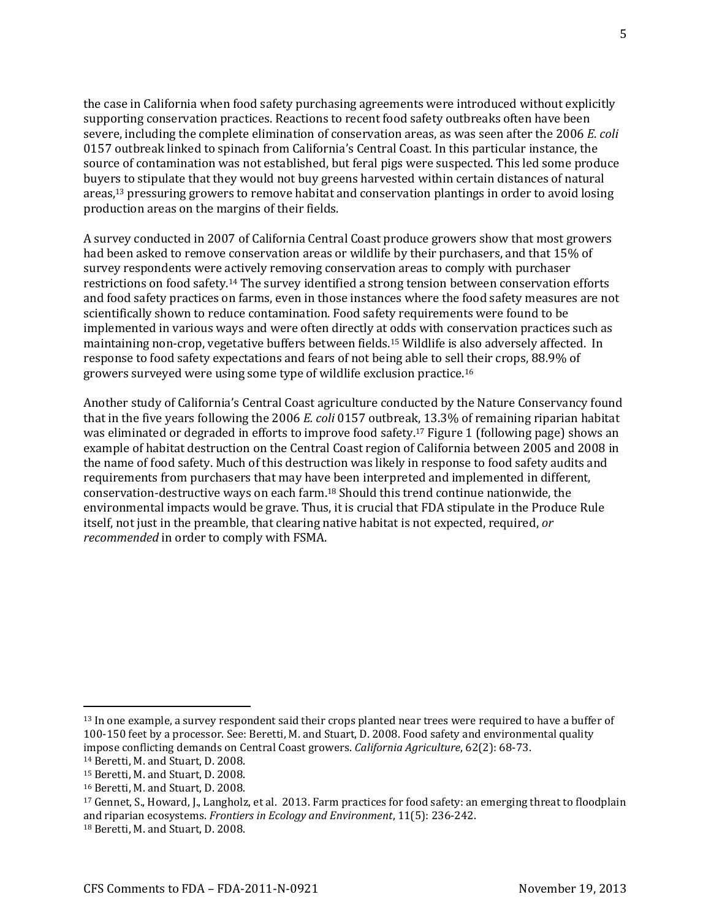the case in California when food safety purchasing agreements were introduced without explicitly supporting conservation practices. Reactions to recent food safety outbreaks often have been severe, including the complete elimination of conservation areas, as was seen after the 2006 *E. coli* 0157 outbreak linked to spinach from California's Central Coast. In this particular instance, the source of contamination was not established, but feral pigs were suspected. This led some produce buyers to stipulate that they would not buy greens harvested within certain distances of natural areas,<sup>13</sup> pressuring growers to remove habitat and conservation plantings in order to avoid losing production areas on the margins of their fields.

A survey conducted in 2007 of California Central Coast produce growers show that most growers had been asked to remove conservation areas or wildlife by their purchasers, and that 15% of survey respondents were actively removing conservation areas to comply with purchaser restrictions on food safety.<sup>14</sup> The survey identified a strong tension between conservation efforts and food safety practices on farms, even in those instances where the food safety measures are not scientifically shown to reduce contamination. Food safety requirements were found to be implemented in various ways and were often directly at odds with conservation practices such as maintaining non-crop, vegetative buffers between fields.<sup>15</sup> Wildlife is also adversely affected. In response to food safety expectations and fears of not being able to sell their crops, 88.9% of growers surveyed were using some type of wildlife exclusion practice.<sup>16</sup>

Another study of California's Central Coast agriculture conducted by the Nature Conservancy found that in the five years following the 2006 *E. coli* 0157 outbreak, 13.3% of remaining riparian habitat was eliminated or degraded in efforts to improve food safety.<sup>17</sup> Figure 1 (following page) shows an example of habitat destruction on the Central Coast region of California between 2005 and 2008 in the name of food safety. Much of this destruction was likely in response to food safety audits and requirements from purchasers that may have been interpreted and implemented in different, conservation-destructive ways on each farm.<sup>18</sup> Should this trend continue nationwide, the environmental impacts would be grave. Thus, it is crucial that FDA stipulate in the Produce Rule itself, not just in the preamble, that clearing native habitat is not expected, required, *or recommended* in order to comply with FSMA.

<sup>13</sup> In one example, a survey respondent said their crops planted near trees were required to have a buffer of 100-150 feet by a processor. See: Beretti, M. and Stuart, D. 2008. Food safety and environmental quality impose conflicting demands on Central Coast growers. *California Agriculture*, 62(2): 68-73.

<sup>14</sup> Beretti, M. and Stuart, D. 2008.

<sup>15</sup> Beretti, M. and Stuart, D. 2008.

<sup>16</sup> Beretti, M. and Stuart, D. 2008.

<sup>17</sup> Gennet, S., Howard, J., Langholz, et al. 2013. Farm practices for food safety: an emerging threat to floodplain and riparian ecosystems. *Frontiers in Ecology and Environment*, 11(5): 236-242.

<sup>18</sup> Beretti, M. and Stuart, D. 2008.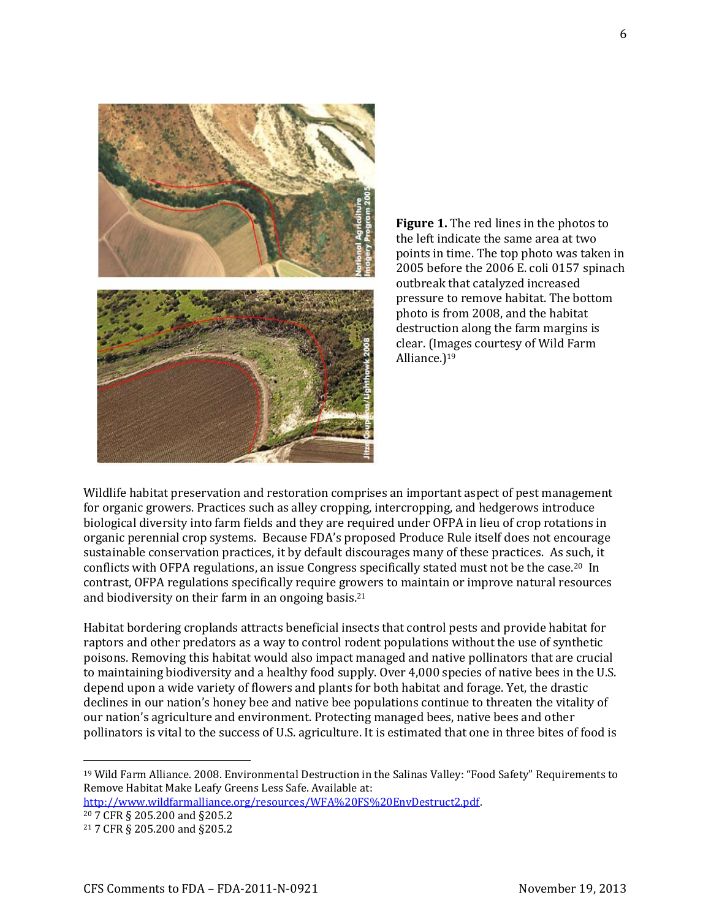

**Figure 1.** The red lines in the photos to the left indicate the same area at two points in time. The top photo was taken in 2005 before the 2006 E. coli 0157 spinach outbreak that catalyzed increased pressure to remove habitat. The bottom photo is from 2008, and the habitat destruction along the farm margins is clear. (Images courtesy of Wild Farm Alliance.)<sup>19</sup>

Wildlife habitat preservation and restoration comprises an important aspect of pest management for organic growers. Practices such as alley cropping, intercropping, and hedgerows introduce biological diversity into farm fields and they are required under OFPA in lieu of crop rotations in organic perennial crop systems. Because FDA's proposed Produce Rule itself does not encourage sustainable conservation practices, it by default discourages many of these practices. As such, it conflicts with OFPA regulations, an issue Congress specifically stated must not be the case.20 In contrast, OFPA regulations specifically require growers to maintain or improve natural resources and biodiversity on their farm in an ongoing basis.<sup>21</sup>

Habitat bordering croplands attracts beneficial insects that control pests and provide habitat for raptors and other predators as a way to control rodent populations without the use of synthetic poisons. Removing this habitat would also impact managed and native pollinators that are crucial to maintaining biodiversity and a healthy food supply. Over 4,000 species of native bees in the U.S. depend upon a wide variety of flowers and plants for both habitat and forage. Yet, the drastic declines in our nation's honey bee and native bee populations continue to threaten the vitality of our nation's agriculture and environment. Protecting managed bees, native bees and other pollinators is vital to the success of U.S. agriculture. It is estimated that one in three bites of food is

<sup>19</sup> Wild Farm Alliance. 2008. Environmental Destruction in the Salinas Valley: "Food Safety" Requirements to Remove Habitat Make Leafy Greens Less Safe. Available at:

[http://www.wildfarmalliance.org/resources/WFA%20FS%20EnvDestruct2.pdf.](http://www.wildfarmalliance.org/resources/WFA%20FS%20EnvDestruct2.pdf) <sup>20</sup> 7 CFR § 205.200 and §205.2

<sup>21</sup> 7 CFR § 205.200 and §205.2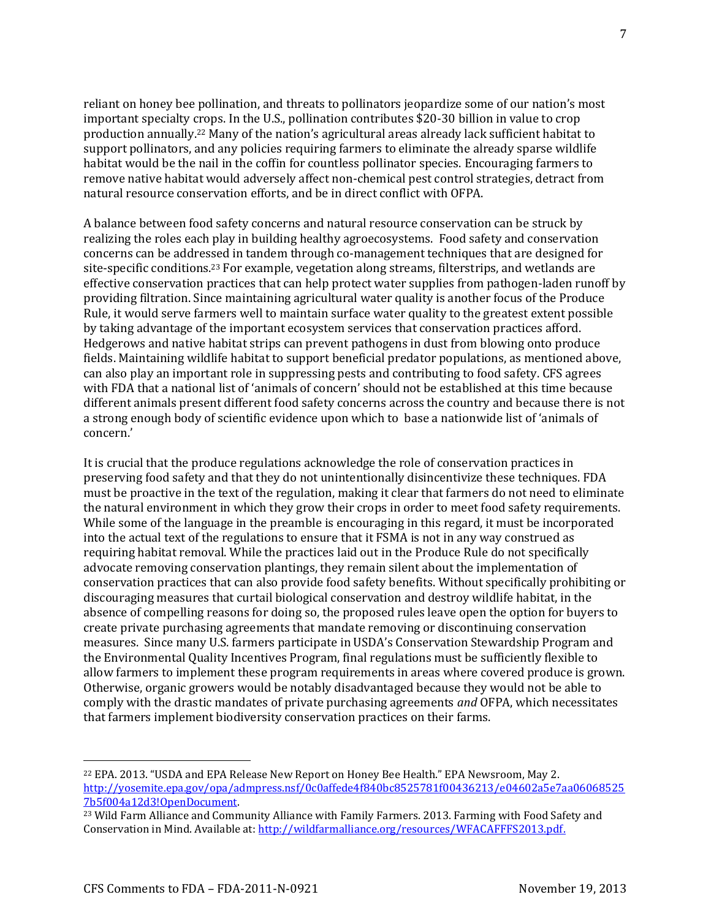reliant on honey bee pollination, and threats to pollinators jeopardize some of our nation's most important specialty crops. In the U.S., pollination contributes \$20-30 billion in value to crop production annually.<sup>22</sup> Many of the nation's agricultural areas already lack sufficient habitat to support pollinators, and any policies requiring farmers to eliminate the already sparse wildlife habitat would be the nail in the coffin for countless pollinator species. Encouraging farmers to remove native habitat would adversely affect non-chemical pest control strategies, detract from natural resource conservation efforts, and be in direct conflict with OFPA.

A balance between food safety concerns and natural resource conservation can be struck by realizing the roles each play in building healthy agroecosystems. Food safety and conservation concerns can be addressed in tandem through co-management techniques that are designed for site-specific conditions.<sup>23</sup> For example, vegetation along streams, filterstrips, and wetlands are effective conservation practices that can help protect water supplies from pathogen-laden runoff by providing filtration. Since maintaining agricultural water quality is another focus of the Produce Rule, it would serve farmers well to maintain surface water quality to the greatest extent possible by taking advantage of the important ecosystem services that conservation practices afford. Hedgerows and native habitat strips can prevent pathogens in dust from blowing onto produce fields. Maintaining wildlife habitat to support beneficial predator populations, as mentioned above, can also play an important role in suppressing pests and contributing to food safety. CFS agrees with FDA that a national list of 'animals of concern' should not be established at this time because different animals present different food safety concerns across the country and because there is not a strong enough body of scientific evidence upon which to base a nationwide list of 'animals of concern.'

It is crucial that the produce regulations acknowledge the role of conservation practices in preserving food safety and that they do not unintentionally disincentivize these techniques. FDA must be proactive in the text of the regulation, making it clear that farmers do not need to eliminate the natural environment in which they grow their crops in order to meet food safety requirements. While some of the language in the preamble is encouraging in this regard, it must be incorporated into the actual text of the regulations to ensure that it FSMA is not in any way construed as requiring habitat removal. While the practices laid out in the Produce Rule do not specifically advocate removing conservation plantings, they remain silent about the implementation of conservation practices that can also provide food safety benefits. Without specifically prohibiting or discouraging measures that curtail biological conservation and destroy wildlife habitat, in the absence of compelling reasons for doing so, the proposed rules leave open the option for buyers to create private purchasing agreements that mandate removing or discontinuing conservation measures. Since many U.S. farmers participate in USDA's Conservation Stewardship Program and the Environmental Quality Incentives Program, final regulations must be sufficiently flexible to allow farmers to implement these program requirements in areas where covered produce is grown. Otherwise, organic growers would be notably disadvantaged because they would not be able to comply with the drastic mandates of private purchasing agreements *and* OFPA, which necessitates that farmers implement biodiversity conservation practices on their farms.

7

<sup>22</sup> EPA. 2013. "USDA and EPA Release New Report on Honey Bee Health." EPA Newsroom, May 2. [http://yosemite.epa.gov/opa/admpress.nsf/0c0affede4f840bc8525781f00436213/e04602a5e7aa06068525](http://yosemite.epa.gov/opa/admpress.nsf/0c0affede4f840bc8525781f00436213/e04602a5e7aa060685257b5f004a12d3!OpenDocument) [7b5f004a12d3!OpenDocument.](http://yosemite.epa.gov/opa/admpress.nsf/0c0affede4f840bc8525781f00436213/e04602a5e7aa060685257b5f004a12d3!OpenDocument)

<sup>&</sup>lt;sup>23</sup> Wild Farm Alliance and Community Alliance with Family Farmers. 2013. Farming with Food Safety and Conservation in Mind. Available at: [http://wildfarmalliance.org/resources/WFACAFFFS2013.pdf.](http://wildfarmalliance.org/resources/WFACAFFFS2013.pdf)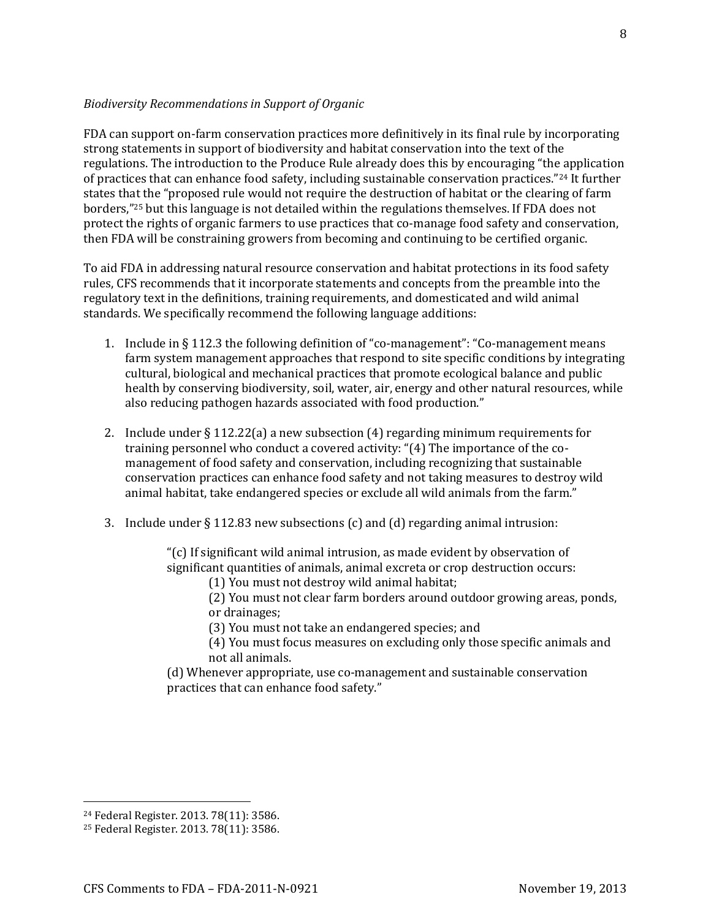#### *Biodiversity Recommendations in Support of Organic*

FDA can support on-farm conservation practices more definitively in its final rule by incorporating strong statements in support of biodiversity and habitat conservation into the text of the regulations. The introduction to the Produce Rule already does this by encouraging "the application of practices that can enhance food safety, including sustainable conservation practices."<sup>24</sup> It further states that the "proposed rule would not require the destruction of habitat or the clearing of farm borders,"<sup>25</sup> but this language is not detailed within the regulations themselves. If FDA does not protect the rights of organic farmers to use practices that co-manage food safety and conservation, then FDA will be constraining growers from becoming and continuing to be certified organic.

To aid FDA in addressing natural resource conservation and habitat protections in its food safety rules, CFS recommends that it incorporate statements and concepts from the preamble into the regulatory text in the definitions, training requirements, and domesticated and wild animal standards. We specifically recommend the following language additions:

- 1. Include in § 112.3 the following definition of "co-management": "Co-management means farm system management approaches that respond to site specific conditions by integrating cultural, biological and mechanical practices that promote ecological balance and public health by conserving biodiversity, soil, water, air, energy and other natural resources, while also reducing pathogen hazards associated with food production."
- 2. Include under  $\S 112.22(a)$  a new subsection (4) regarding minimum requirements for training personnel who conduct a covered activity: "(4) The importance of the comanagement of food safety and conservation, including recognizing that sustainable conservation practices can enhance food safety and not taking measures to destroy wild animal habitat, take endangered species or exclude all wild animals from the farm."
- 3. Include under  $\S 112.83$  new subsections (c) and (d) regarding animal intrusion:

"(c) If significant wild animal intrusion, as made evident by observation of significant quantities of animals, animal excreta or crop destruction occurs:

(1) You must not destroy wild animal habitat;

(2) You must not clear farm borders around outdoor growing areas, ponds, or drainages;

- (3) You must not take an endangered species; and
- (4) You must focus measures on excluding only those specific animals and not all animals.
- (d) Whenever appropriate, use co-management and sustainable conservation practices that can enhance food safety."

<sup>24</sup> Federal Register. 2013. 78(11): 3586.

<sup>25</sup> Federal Register. 2013. 78(11): 3586.